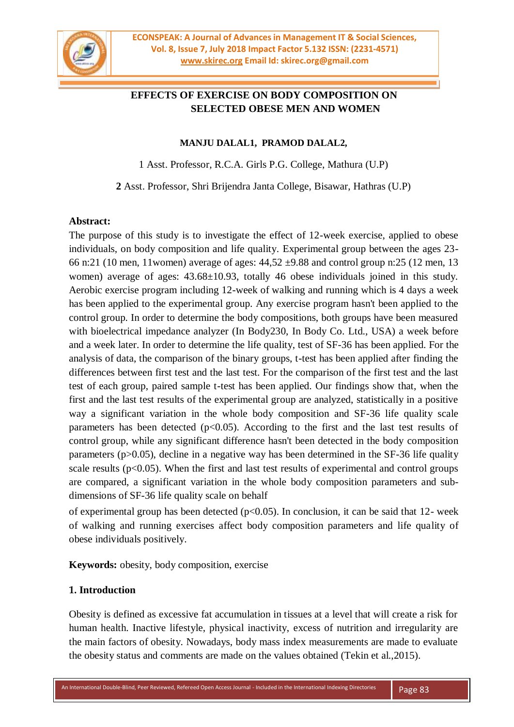

# **EFFECTS OF EXERCISE ON BODY COMPOSITION ON SELECTED OBESE MEN AND WOMEN**

#### **MANJU DALAL1, PRAMOD DALAL2,**

1 Asst. Professor, R.C.A. Girls P.G. College, Mathura (U.P)

**2** Asst. Professor, Shri Brijendra Janta College, Bisawar, Hathras (U.P)

#### **Abstract:**

The purpose of this study is to investigate the effect of 12-week exercise, applied to obese individuals, on body composition and life quality. Experimental group between the ages 23- 66 n:21 (10 men, 11women) average of ages: 44,52 ±9.88 and control group n:25 (12 men, 13 women) average of ages: 43.68±10.93, totally 46 obese individuals joined in this study. Aerobic exercise program including 12-week of walking and running which is 4 days a week has been applied to the experimental group. Any exercise program hasn't been applied to the control group. In order to determine the body compositions, both groups have been measured with bioelectrical impedance analyzer (In Body230, In Body Co. Ltd., USA) a week before and a week later. In order to determine the life quality, test of SF-36 has been applied. For the analysis of data, the comparison of the binary groups, t-test has been applied after finding the differences between first test and the last test. For the comparison of the first test and the last test of each group, paired sample t-test has been applied. Our findings show that, when the first and the last test results of the experimental group are analyzed, statistically in a positive way a significant variation in the whole body composition and SF-36 life quality scale parameters has been detected  $(p<0.05)$ . According to the first and the last test results of control group, while any significant difference hasn't been detected in the body composition parameters (p>0.05), decline in a negative way has been determined in the SF-36 life quality scale results ( $p<0.05$ ). When the first and last test results of experimental and control groups are compared, a significant variation in the whole body composition parameters and subdimensions of SF-36 life quality scale on behalf

of experimental group has been detected ( $p<0.05$ ). In conclusion, it can be said that 12- week of walking and running exercises affect body composition parameters and life quality of obese individuals positively.

**Keywords:** obesity, body composition, exercise

### **1. Introduction**

Obesity is defined as excessive fat accumulation in tissues at a level that will create a risk for human health. Inactive lifestyle, physical inactivity, excess of nutrition and irregularity are the main factors of obesity. Nowadays, body mass index measurements are made to evaluate the obesity status and comments are made on the values obtained (Tekin et al.,2015).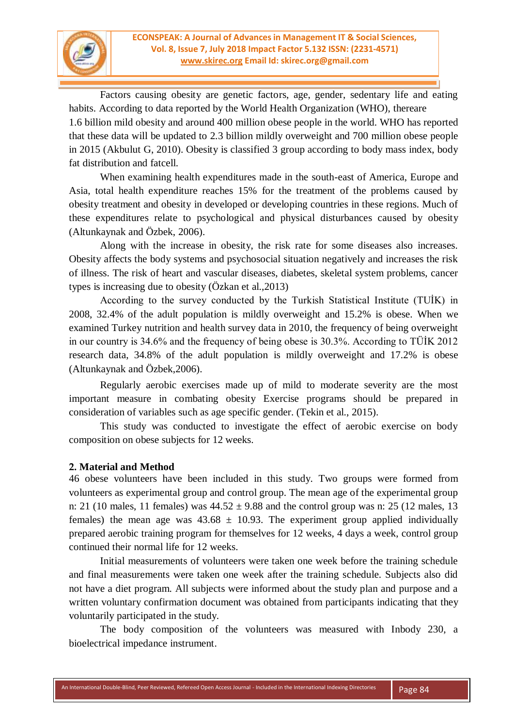

Factors causing obesity are genetic factors, age, gender, sedentary life and eating habits. According to data reported by the World Health Organization (WHO), thereare 1.6 billion mild obesity and around 400 million obese people in the world. WHO has reported that these data will be updated to 2.3 billion mildly overweight and 700 million obese people in 2015 (Akbulut G, 2010). Obesity is classified 3 group according to body mass index, body fat distribution and fatcell.

When examining health expenditures made in the south-east of America, Europe and Asia, total health expenditure reaches 15% for the treatment of the problems caused by obesity treatment and obesity in developed or developing countries in these regions. Much of these expenditures relate to psychological and physical disturbances caused by obesity (Altunkaynak and Özbek, 2006).

Along with the increase in obesity, the risk rate for some diseases also increases. Obesity affects the body systems and psychosocial situation negatively and increases the risk of illness. The risk of heart and vascular diseases, diabetes, skeletal system problems, cancer types is increasing due to obesity (Özkan et al.,2013)

According to the survey conducted by the Turkish Statistical Institute (TUİK) in 2008, 32.4% of the adult population is mildly overweight and 15.2% is obese. When we examined Turkey nutrition and health survey data in 2010, the frequency of being overweight in our country is 34.6% and the frequency of being obese is 30.3%. According to TÜİK 2012 research data, 34.8% of the adult population is mildly overweight and 17.2% is obese (Altunkaynak and Özbek,2006).

Regularly aerobic exercises made up of mild to moderate severity are the most important measure in combating obesity Exercise programs should be prepared in consideration of variables such as age specific gender. (Tekin et al., 2015).

This study was conducted to investigate the effect of aerobic exercise on body composition on obese subjects for 12 weeks.

### **2. Material and Method**

46 obese volunteers have been included in this study. Two groups were formed from volunteers as experimental group and control group. The mean age of the experimental group n: 21 (10 males, 11 females) was  $44.52 \pm 9.88$  and the control group was n: 25 (12 males, 13 females) the mean age was  $43.68 \pm 10.93$ . The experiment group applied individually prepared aerobic training program for themselves for 12 weeks, 4 days a week, control group continued their normal life for 12 weeks.

Initial measurements of volunteers were taken one week before the training schedule and final measurements were taken one week after the training schedule. Subjects also did not have a diet program. All subjects were informed about the study plan and purpose and a written voluntary confirmation document was obtained from participants indicating that they voluntarily participated in the study.

The body composition of the volunteers was measured with Inbody 230, a bioelectrical impedance instrument.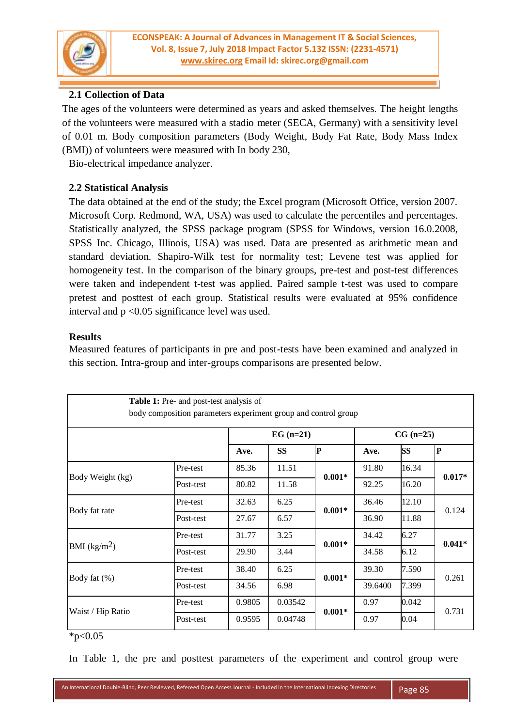

## **2.1 Collection of Data**

The ages of the volunteers were determined as years and asked themselves. The height lengths of the volunteers were measured with a stadio meter (SECA, Germany) with a sensitivity level of 0.01 m. Body composition parameters (Body Weight, Body Fat Rate, Body Mass Index (BMI)) of volunteers were measured with In body 230,

Bio-electrical impedance analyzer.

## **2.2 Statistical Analysis**

The data obtained at the end of the study; the Excel program (Microsoft Office, version 2007. Microsoft Corp. Redmond, WA, USA) was used to calculate the percentiles and percentages. Statistically analyzed, the SPSS package program (SPSS for Windows, version 16.0.2008, SPSS Inc. Chicago, Illinois, USA) was used. Data are presented as arithmetic mean and standard deviation. Shapiro-Wilk test for normality test; Levene test was applied for homogeneity test. In the comparison of the binary groups, pre-test and post-test differences were taken and independent t-test was applied. Paired sample t-test was used to compare pretest and posttest of each group. Statistical results were evaluated at 95% confidence interval and  $p < 0.05$  significance level was used.

### **Results**

Measured features of participants in pre and post-tests have been examined and analyzed in this section. Intra-group and inter-groups comparisons are presented below.

|                   | Table 1: Pre- and post-test analysis of<br>body composition parameters experiment group and control group |        |            |          |         |             |           |  |
|-------------------|-----------------------------------------------------------------------------------------------------------|--------|------------|----------|---------|-------------|-----------|--|
|                   |                                                                                                           |        | $EG(n=21)$ |          |         | $CG (n=25)$ |           |  |
|                   |                                                                                                           | Ave.   | <b>SS</b>  | P        | Ave.    | <b>SS</b>   | ${\bf P}$ |  |
| Body Weight (kg)  | Pre-test                                                                                                  | 85.36  | 11.51      | $0.001*$ | 91.80   | 16.34       | $0.017*$  |  |
|                   | Post-test                                                                                                 | 80.82  | 11.58      |          | 92.25   | 16.20       |           |  |
| Body fat rate     | Pre-test                                                                                                  | 32.63  | 6.25       | $0.001*$ | 36.46   | 12.10       | 0.124     |  |
|                   | Post-test                                                                                                 | 27.67  | 6.57       |          | 36.90   | 11.88       |           |  |
| BMI $(kg/m2)$     | Pre-test                                                                                                  | 31.77  | 3.25       | $0.001*$ | 34.42   | 6.27        | $0.041*$  |  |
|                   | Post-test                                                                                                 | 29.90  | 3.44       |          | 34.58   | 6.12        |           |  |
| Body fat $(\%)$   | Pre-test                                                                                                  | 38.40  | 6.25       | $0.001*$ | 39.30   | 7.590       | 0.261     |  |
|                   | Post-test                                                                                                 | 34.56  | 6.98       |          | 39.6400 | 7.399       |           |  |
| Waist / Hip Ratio | Pre-test                                                                                                  | 0.9805 | 0.03542    | $0.001*$ | 0.97    | 0.042       | 0.731     |  |
|                   | Post-test                                                                                                 | 0.9595 | 0.04748    |          | 0.97    | 0.04        |           |  |

 $*p<0.05$ 

In Table 1, the pre and posttest parameters of the experiment and control group were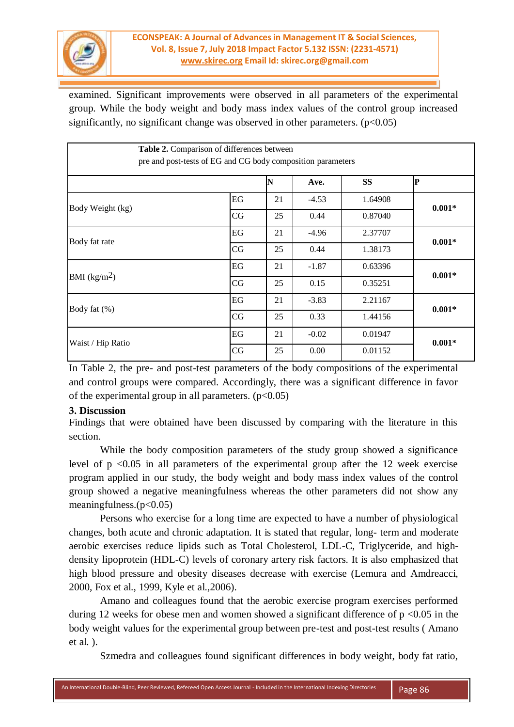

examined. Significant improvements were observed in all parameters of the experimental group. While the body weight and body mass index values of the control group increased significantly, no significant change was observed in other parameters.  $(p<0.05)$ 

|                   | Table 2. Comparison of differences between<br>pre and post-tests of EG and CG body composition parameters |    |         |           |          |
|-------------------|-----------------------------------------------------------------------------------------------------------|----|---------|-----------|----------|
|                   |                                                                                                           | N  | Ave.    | <b>SS</b> | lР       |
|                   | EG                                                                                                        | 21 | $-4.53$ | 1.64908   |          |
| Body Weight (kg)  | CG                                                                                                        | 25 | 0.44    | 0.87040   | $0.001*$ |
|                   | EG                                                                                                        | 21 | $-4.96$ | 2.37707   | $0.001*$ |
| Body fat rate     | CG                                                                                                        | 25 | 0.44    | 1.38173   |          |
|                   | EG                                                                                                        | 21 | $-1.87$ | 0.63396   | $0.001*$ |
| BMI $(kg/m2)$     | CG                                                                                                        | 25 | 0.15    | 0.35251   |          |
| Body fat (%)      | EG                                                                                                        | 21 | $-3.83$ | 2.21167   | $0.001*$ |
|                   | CG                                                                                                        | 25 | 0.33    | 1.44156   |          |
| Waist / Hip Ratio | $\operatorname{EG}$                                                                                       | 21 | $-0.02$ | 0.01947   | $0.001*$ |
|                   | CG                                                                                                        | 25 | 0.00    | 0.01152   |          |

In Table 2, the pre- and post-test parameters of the body compositions of the experimental and control groups were compared. Accordingly, there was a significant difference in favor of the experimental group in all parameters.  $(p<0.05)$ 

### **3. Discussion**

Findings that were obtained have been discussed by comparing with the literature in this section.

While the body composition parameters of the study group showed a significance level of  $p \le 0.05$  in all parameters of the experimental group after the 12 week exercise program applied in our study, the body weight and body mass index values of the control group showed a negative meaningfulness whereas the other parameters did not show any meaningfulness. $(p<0.05)$ 

Persons who exercise for a long time are expected to have a number of physiological changes, both acute and chronic adaptation. It is stated that regular, long- term and moderate aerobic exercises reduce lipids such as Total Cholesterol, LDL-C, Triglyceride, and highdensity lipoprotein (HDL-C) levels of coronary artery risk factors. It is also emphasized that high blood pressure and obesity diseases decrease with exercise (Lemura and Amdreacci, 2000, Fox et al., 1999, Kyle et al.,2006).

Amano and colleagues found that the aerobic exercise program exercises performed during 12 weeks for obese men and women showed a significant difference of  $p \le 0.05$  in the body weight values for the experimental group between pre-test and post-test results ( Amano et al. ).

Szmedra and colleagues found significant differences in body weight, body fat ratio,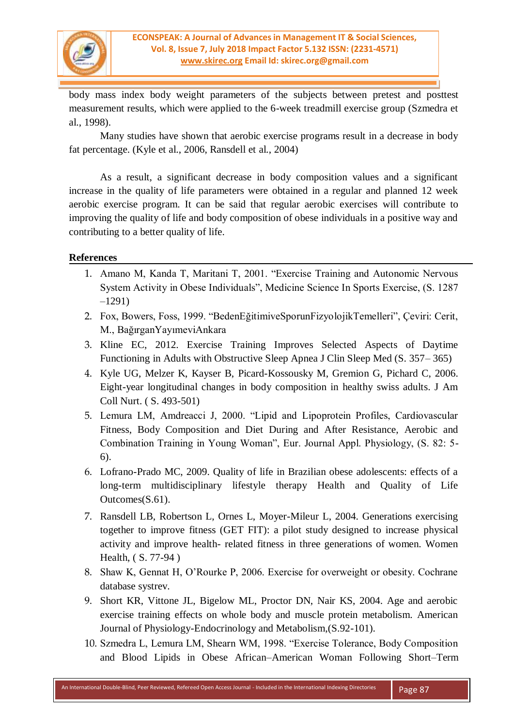

body mass index body weight parameters of the subjects between pretest and posttest measurement results, which were applied to the 6-week treadmill exercise group (Szmedra et al., 1998).

Many studies have shown that aerobic exercise programs result in a decrease in body fat percentage. (Kyle et al., 2006, Ransdell et al., 2004)

As a result, a significant decrease in body composition values and a significant increase in the quality of life parameters were obtained in a regular and planned 12 week aerobic exercise program. It can be said that regular aerobic exercises will contribute to improving the quality of life and body composition of obese individuals in a positive way and contributing to a better quality of life.

### **References**

- 1. Amano M, Kanda T, Maritani T, 2001. "Exercise Training and Autonomic Nervous System Activity in Obese Individuals", Medicine Science In Sports Exercise, (S. 1287 –1291)
- 2. Fox, Bowers, Foss, 1999. "BedenEğitimiveSporunFizyolojikTemelleri", Çeviri: Cerit, M., BağırganYayımeviAnkara
- 3. Kline EC, 2012. Exercise Training Improves Selected Aspects of Daytime Functioning in Adults with Obstructive Sleep Apnea J Clin Sleep Med (S. 357– 365)
- 4. Kyle UG, Melzer K, Kayser B, Picard-Kossousky M, Gremion G, Pichard C, 2006. Eight-year longitudinal changes in body composition in healthy swiss adults. J Am Coll Nurt. ( S. 493-501)
- 5. Lemura LM, Amdreacci J, 2000. "Lipid and Lipoprotein Profiles, Cardiovascular Fitness, Body Composition and Diet During and After Resistance, Aerobic and Combination Training in Young Woman", Eur. Journal Appl. Physiology, (S. 82: 5- 6).
- 6. Lofrano-Prado MC, 2009. Quality of life in Brazilian obese adolescents: effects of a long-term multidisciplinary lifestyle therapy Health and Quality of Life Outcomes(S.61).
- 7. Ransdell LB, Robertson L, Ornes L, Moyer-Mileur L, 2004. Generations exercising together to improve fitness (GET FIT): a pilot study designed to increase physical activity and improve health- related fitness in three generations of women. Women Health, ( S. 77-94 )
- 8. Shaw K, Gennat H, O'Rourke P, 2006. Exercise for overweight or obesity. Cochrane database systrev.
- 9. Short KR, Vittone JL, Bigelow ML, Proctor DN, Nair KS, 2004. Age and aerobic exercise training effects on whole body and muscle protein metabolism. American Journal of Physiology-Endocrinology and Metabolism,(S.92-101).
- 10. Szmedra L, Lemura LM, Shearn WM, 1998. "Exercise Tolerance, Body Composition and Blood Lipids in Obese African–American Woman Following Short–Term